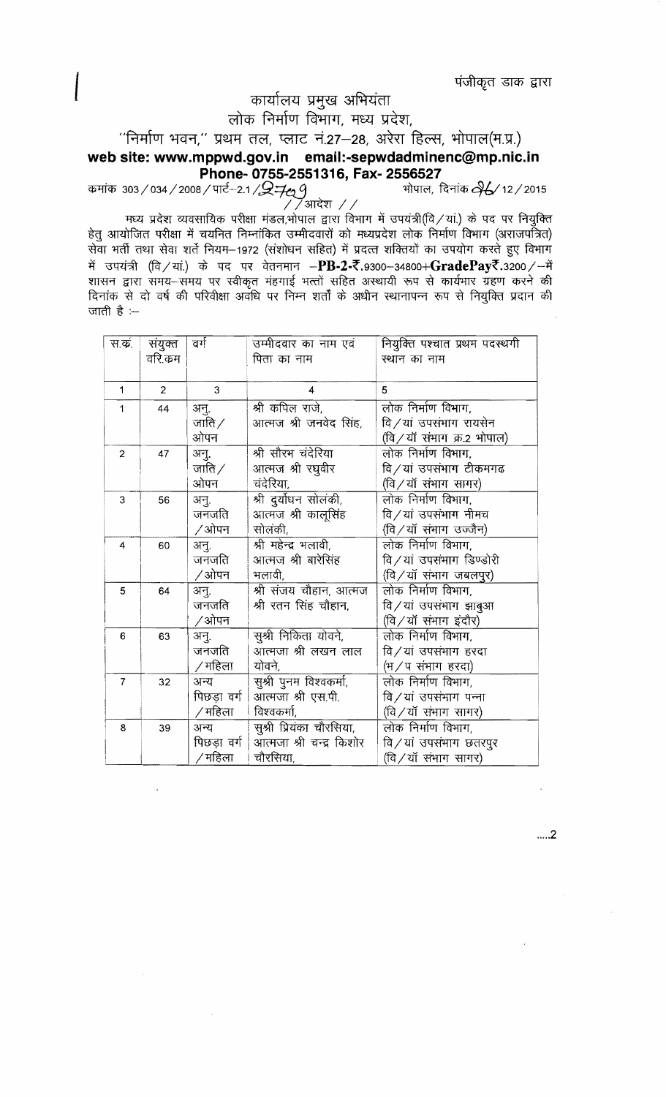पंजीकृत डाक द्वारा

## कार्यालय प्रमुख अभियंता

लोक निर्माण विभाग, मध्य प्रदेश,

"निर्माण भवन," प्रथम तल, प्लाट नं.27-28, अरेरा हिल्स, भोपाल(म.प्र.)

## **web site: www.mppwd.gov.in email:-sepwdadminenc@mp.nic.in Phone-0755-2551316,Fax-2556527**

303 / 034 / 2008 / पार्ट--2.1 / $\mathcal{Q}$ न्म् $\epsilon_2$  9  $\qquad$  - भोपाल, दिनांक  $\partial$ 6⁄ 12 / 2015

 $\sqrt{2}$ आदेश  $\sqrt{2}$ मध्य प्रदेश व्यवसायिक परीक्षा मंडल, भोपाल द्वारा विभाग में उपयंत्री (वि / यां.) के पद पर नियुक्ति हेतू आयोजित परीक्षा में चयनित निम्नांकित उम्मीदवारों को मध्यप्रदेश लोक निर्माण विभाग (अराजपर्नित) सेवा भर्ती तथा सेवा शर्ते नियम-1972 (संशोधन सहित) में प्रदत्त शक्तियों का उपयोग करते हुए विभाग में उपयंत्री (वि / यां.) के पद पर वेतनमान -PB-2-₹.9300-34800+GradePay₹.3200 / - में शासन द्वारा समय-समय पर स्वीकृत मंहगाई भत्तों सहित अस्थायी रूप से कार्यभार ग्रहण करने की दिनांक से दो वर्ष की परिवीक्षा अवधि पर निम्न शर्तों के अधीन स्थानापन्न रूप से नियुक्ति प्रदान की जाती है $:$ 

| स.क.           | संयुक्त<br>वरि.कम | वर्ग                             | उम्मीदवार का नाम एवं<br>पिता का नाम                              | नियुक्ति पश्चात प्रथम पदस्थगी<br>स्थान का नाम                            |
|----------------|-------------------|----------------------------------|------------------------------------------------------------------|--------------------------------------------------------------------------|
| 1              | $\overline{2}$    | 3                                | 4                                                                | 5                                                                        |
| 1              | 44                | अनु.<br>जाति $\angle$<br>ओपन     | श्री कपिल राजे,<br>आत्मज श्री जनवेद सिंह,                        | लोक निर्माण विभाग,<br>वि/यां उपसंभाग रायसेन<br>(वि/यॉ संभाग क्र.2 भोपाल) |
| $\overline{2}$ | 47                | अनु.<br>जाति $\angle$<br>ओपन     | श्री सौरभ चंदेरिया<br>आत्मज श्री रघुवीर<br>चंदेरिया,             | लोक निर्माण विभाग,<br>वि⁄यां उपसंभाग टीकमगढ<br>(वि/यॉ संभाग सागर)        |
| 3              | 56                | अनु.<br>जनजति<br>∕ ओपन           | श्री दुर्योधन सोलंकी,<br>आत्मज श्री कालूसिंह<br>सोलंकी,          | लोक निर्माण विभाग,<br>वि/यां उपसंभाग नीमच<br>(वि/यॉ संभाग उज्जैन)        |
| 4              | 60                | अनु.<br>जनजति<br>∕ ओपन           | श्री महेन्द्र भलावी,<br>आत्मज श्री बारेसिंह<br>भलावी,            | लोक निर्माण विभाग,<br>वि/यां उपसंभाग डिण्डोरी<br>(वि/यॉ संभाग जबलपुर)    |
| 5              | 64                | अनु.<br>जनजति<br>/ओपन            | श्री संजय चौहान, आत्मज<br>श्री रतन सिंह चौहान,                   | लोक निर्माण विभाग,<br>वि/यां उपसंभाग झाबुआ<br>(वि/यॉ संभाग इंदौर)        |
| 6              | 63                | अनु.<br>जनजति<br>∕ महिला         | सुश्री निकिता योवने,<br>आत्मजा श्री लखन लाल<br>योवने,            | लोक निर्माण विभाग,<br>वि/यां उपसंभाग हरदा<br>(भ/प संभाग हरदा)            |
| $\overline{7}$ | 32                | अन्य<br>पिछड़ा वर्ग  <br>/ महिला | सुश्री पुनम विश्वकर्मा,<br>आत्मजा श्री एस.पी.<br>विश्वकर्मा,     | लोक निर्माण विभाग,<br>वि $/$ यां उपसंभाग पन्ना<br>(वि/यॉ संभाग सागर)     |
| 8              | 39                | अन्य<br>पिछड़ा वर्ग  <br>/ महिला | सुश्री प्रियंका चौरसिया,<br>आत्मजा श्री चन्द्र किशोर<br>चौरसिया, | लोक निर्माण विभाग,<br>वि/यां उपसंभाग छतरपुर<br>(वि/यॉ संभाग सागर)        |

.....2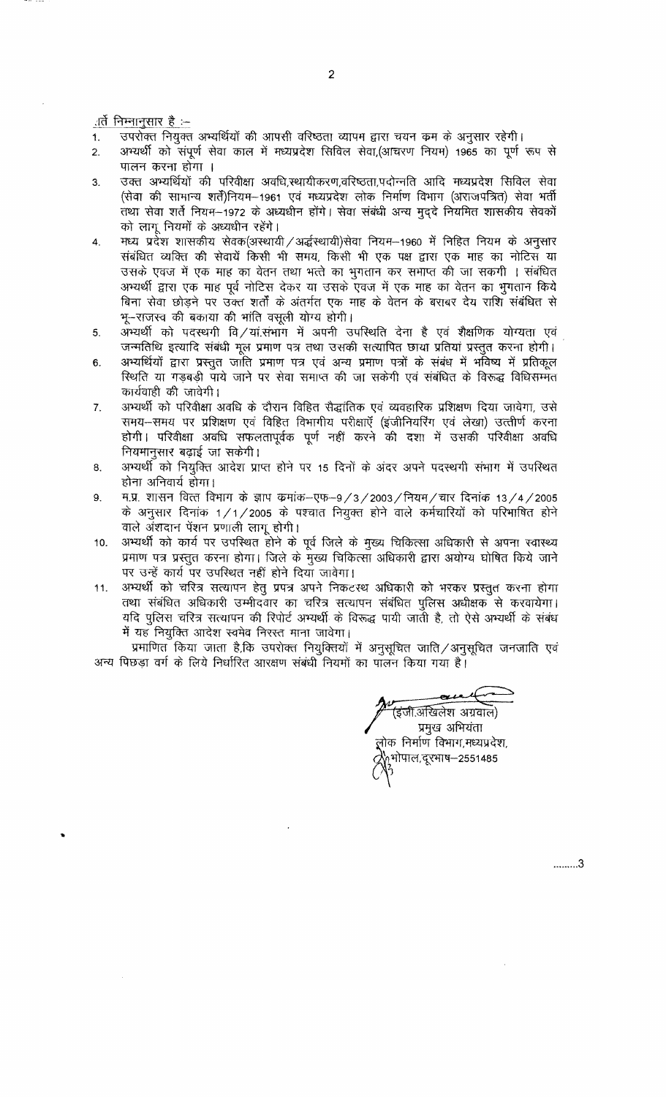ार्ते निम्नानुसार है :–

- उपरोक्त नियुक्त अभ्यर्थियों की आपसी वरिष्ठता व्यापम द्वारा चयन कम के अनुसार रहेगी।  $\mathbf{1}$ .
- $\overline{2}$ . अभ्यर्थी को संपूर्ण सेवा काल में मध्यप्रदेश सिविल सेवा,(आचरण नियम) 1965 का पूर्ण रूप से पालन करना होगा ।
- उक्त अभ्यर्थियों की परिवीक्षा अवधि,स्थायीकरण,वरिष्ठता,पदोन्नति आदि मध्यप्रदेश सिविल सेवा  $3.$ (सेवा की सामान्य शर्तें)नियम-1961 एवं मध्यप्रदेश लोक निर्माण विभाग (अराजपत्रित) सेवा भर्ती तथा सेवा शर्ते नियम-1972 के अध्यधीन होंगे। सेवा संबंधी अन्य मुद्दे नियमित शासकीय सेवकों को लागू नियमों के अध्यधीन रहेंगे।
- मध्य प्रदेश शासकीय सेवक(अस्थायी / अर्द्धस्थायी)सेवा नियम-1960 में निहित नियम के अनुसार 4. संबंधित व्यक्ति की सेवायें किसी भी समय, किसी भी एक पक्ष द्वारा एक माह का नोटिस या उसके एवज में एक माह का वेतन तथा भत्ते का भुगतान कर समाप्त की जा सकगी । संबंधित अभ्यर्थी द्वारा एक माह पूर्व नोटिस देकर या उसके एवज में एक माह का वेतन का भुगतान किये बिना सेवा छोड़ने पर उक्त शर्तों के अंतर्गत एक माह के वेतन के बराबर देय राशि संबंधित से भू-राजस्व की बकाया की भांति वसूली योग्य होगी।
- अभ्यर्थी को पदस्थगी वि⁄यां.संभाग में अपनी उपस्थिति देना है एवं शैक्षणिक योग्यता एवं 5. जन्मतिथि इत्यादि संबंधी मूल प्रमाण पत्र तथा उसकी सत्यापित छाया प्रतियां प्रस्तुत करना होगी।
- अभ्यर्थियों द्वारा प्रस्तुत जाति प्रमाण पत्र एवं अन्य प्रमाण पत्रों के संबंध में भविष्य में प्रतिकूल  $6.$ स्थिति या गड़बड़ी पाये जाने पर सेवा समाप्त की जा सकेगी एवं संबंधित के विरूद्ध विधिसम्मत कार्यवाही की जावेगी।
- अभ्यर्थी को परिवीक्षा अवधि के दौरान विहित सैद्धांतिक एवं व्यवहारिक प्रशिक्षण दिया जावेगा, उसे  $\overline{7}$ . समय-समय पर प्रशिक्षण एवं विहित विभागीय परीक्षाएँ (इंजीनियरिंग एवं लेखा) उत्त्तीर्ण करना होगी। परिवीक्षा अवधि सफलतापूर्वक पूर्ण नहीं करने की दशा में उसकी परिवीक्षा अवधि नियमानुसार बढ़ाई जा सकेगी।
- अभ्यर्थी को नियुक्ति आदेश प्राप्त होने पर 15 दिनों के अंदर अपने पदस्थगी संभाग में उपस्थित 8. होना अनिवार्य होगा।
- म.प्र. शासन वित्त विभाग के ज्ञाप कमांक-एफ-9/3/2003/नियम/चार दिनांक 13/4/2005 9. के अनुसार दिनांक 1/1/2005 के पश्चात नियुक्त होने वाले कर्मचारियों को परिभाषित होने वाले अंशदान पेंशन प्रणाली लागू होगी।
- अभ्यर्थी को कार्य पर उपस्थित होने के पूर्व जिले के मुख्य चिकित्सा अधिकारी से अपना स्वास्थ्य  $10.$ प्रमाण पत्र प्रस्तुत करना होगा। जिले के मुख्य चिकित्सा अधिकारी द्वारा अयोग्य घोषित किये जाने पर उन्हें कार्य पर उपस्थित नहीं होने दिया जावेगा।
- अभ्यर्थी को चरित्र सत्यापन हेतु प्रपत्र अपने निकटस्थ अधिकारी को भरकर प्रस्तुत करना होगा  $11.$ तथा संबंधित अधिकारी उम्मीदवार का चरित्र सत्यापन संबंधित पुलिस अधीक्षक से करवायेगा। यदि पुलिस चरित्र सत्यापन की रिपोर्ट अभ्यर्थी के विरूद्ध पायी जाती है, तो ऐसे अभ्यर्थी के संबंध में यह नियुक्ति आदेश स्वमेव निरस्त माना जावेगा।

प्रमाणित किया जाता है,कि उपरोक्त नियुक्तियों में अनुसूचित जाति ⁄ अनुसूचित जनजाति एवं अन्य पिछड़ा वर्ग के लिये निर्धारित आरक्षण संबंधी नियमों का पालन किया गया है।

(इंजी.अखिलेश अग्रवाल) प्रमुख अभियंता लोक निर्माण विभाग,मध्यप्रदेश, भोपाल,दूरभाष—2551485

.........3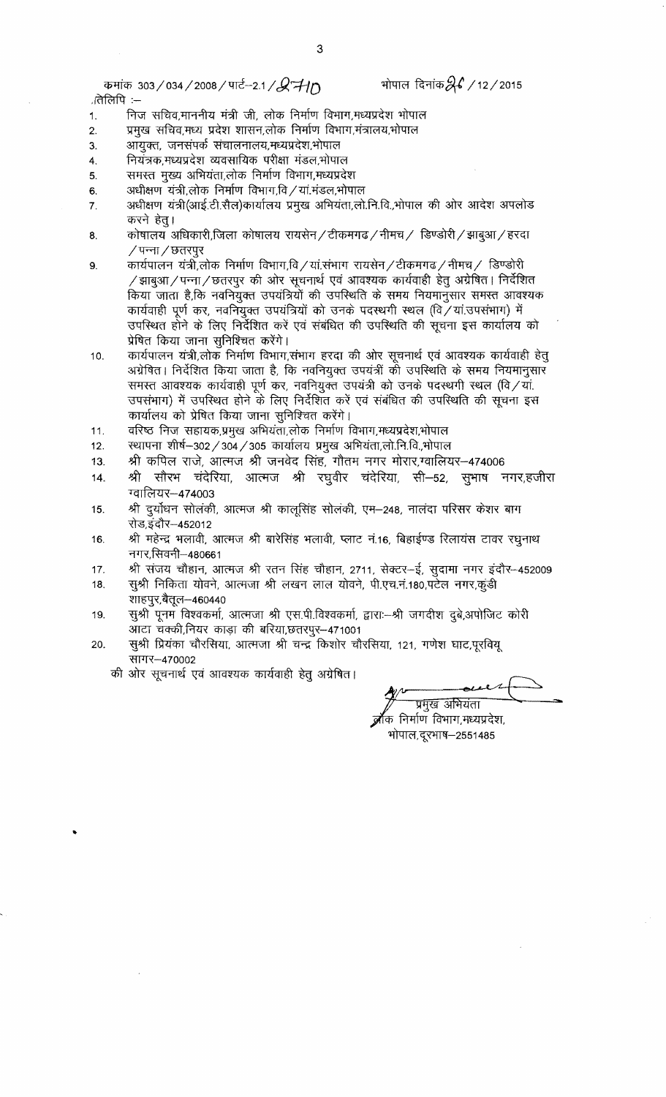कमांक 303/034/2008/पार्ट-2.1/ $\cancel{Q}$ नी $\cancel{D}$ ातेलिपि :-

भोपाल दिनांक $\mathscr{A}$  /12/2015

- निज सचिव,माननीय मंत्री जी, लोक निर्माण विभाग,मध्यप्रदेश भोपाल 1.
- प्रमुख सचिव,मध्य प्रदेश शासन,लोक निर्माण विभाग,मंत्रालय,भोपाल  $\overline{2}$
- आयुक्त, जनसंपर्क संचालनालय,मध्यप्रदेश,भोपाल 3.
- नियंत्रक,मध्यप्रदेश व्यवसायिक परीक्षा मंडल,भोपाल 4.
- समस्त मुख्य अभियंता,लोक निर्माण विभाग,मध्यप्रदेश 5.
- अधीक्षण यंत्री,लोक निर्माण विभाग,वि / यां.मंडल,भोपाल 6.
- अधीक्षण यंत्री(आई.टी.सैल)कार्यालय प्रमुख अभियंता,लो.नि.वि.,भोपाल की ओर आदेश अपलोड 7. करने हेतु।
- कोषालय अधिकारी,जिला कोषालय रायसेन / टीकमगढ / नीमच / डिण्डोरी / झाबुआ / हरदा 8. ∕ पन्ना ∕ छतरपुर
- कार्यपालन यंत्री,लोक निर्माण विभाग,वि/यां.संभाग रायसेन/टीकमगढ/नीमच/ डिण्डोरी  $9.$ /झाबुआ/पन्ना/छतरपुर की ओर सूचनार्थ एवं आवश्यक कार्यवाही हेतु अग्रेषित। निर्देशित किया जाता है,कि नवनियुक्त उपयंत्रियों की उपस्थिति के समय नियमानुसार समस्त आवश्यक कार्यवाही पूर्ण कर, नवनियुक्त उपयंत्रियों को उनके पदस्थगी स्थल (वि/यां.उपसंभाग) में उपस्थित होने के लिए निर्देशित करें एवं संबंधित की उपस्थिति की सूचना इस कार्यालय को प्रेषित किया जाना सुनिश्चित करेंगे।
- कार्यपालन यंत्री,लोक निर्माण विभाग,संभाग हरदा की ओर सूचनार्थ एवं आवश्यक कार्यवाही हेतू  $10.$ अग्रेषित। निर्देशित किया जाता है, कि नवनियुक्त उपयंत्रीं की उपस्थिति के समय नियमानुसार समस्त आवश्यक कार्यवाही पूर्ण कर, नवनियुक्त उपयंत्री को उनके पदस्थगी स्थल (वि/यां. उपसंभाग) में उपस्थित होने के लिए निर्देशित करें एवं संबंधित की उपस्थिति की सूचना इस कार्यालय को प्रेषित किया जाना सुनिश्चित करेंगे।
- वरिष्ठ निज सहायक,प्रमुख अभियंता,लोक निर्माण विभाग,मध्यप्रदेश,भोपाल 11.
- $12.$ स्थापना शीर्ष–302 / 304 / 305 कार्यालय प्रमुख अभियंता,लो.नि.वि.,भोपाल
- श्री कपिल राजे, आत्मज श्री जनवेद सिंह, गौतम नगर मोरार,ग्वालियर-474006 13.
- श्री सौरभ चंदेरिया, आत्मज श्री रघुवीर चंदेरिया, सी–52, सुभाष नगर,हजीरा 14. ग्वालियर-474003
- श्री दुर्योधन सोलंकी, आत्मज श्री कालूसिंह सोलंकी, एम—248, नालंदा परिसर केशर बाग 15. रोड,इंदौर–452012
- श्री महेन्द्र भलावी, आत्मज श्री बारेसिंह भलावी, प्लाट नं.16, बिहाईण्ड रिलायंस टावर रघुनाथ 16. नगर,सिवनी–480661
- श्री संजय चौहान, आत्मज श्री रतन सिंह चौहान, 2711, सेक्टर-ई, सुदामा नगर इंदौर--452009  $17.$
- सुश्री निकिता योवने, आत्मजा श्री लखन लाल योवने, पी.एच.नं.180,पटेल नगर,कुंडी 18. शाहपुर,बैतूल—460440
- सुश्री पूनम विश्वकर्मा, आत्मजा श्री एस.पी.विश्वकर्मा, द्वारा:--श्री जगदीश दुबे,अपोजिट कोरी 19. आटा चक्की,नियर काड़ा की बरिया,छतरपुर-471001
- सुश्री प्रियंका चौरसिया, आत्मजा श्री चन्द्र किशोर चौरसिया, 121, गणेश घाट,पूरवियू 20. सागर-470002
	- की ओर सूचनार्थ एवं आवश्यक कार्यवाही हेतु अग्रेषित।

प्रमुख अभियंता क निर्माण विभाग,मध्यप्रदेश, भोपाल,दूरभाष–2551485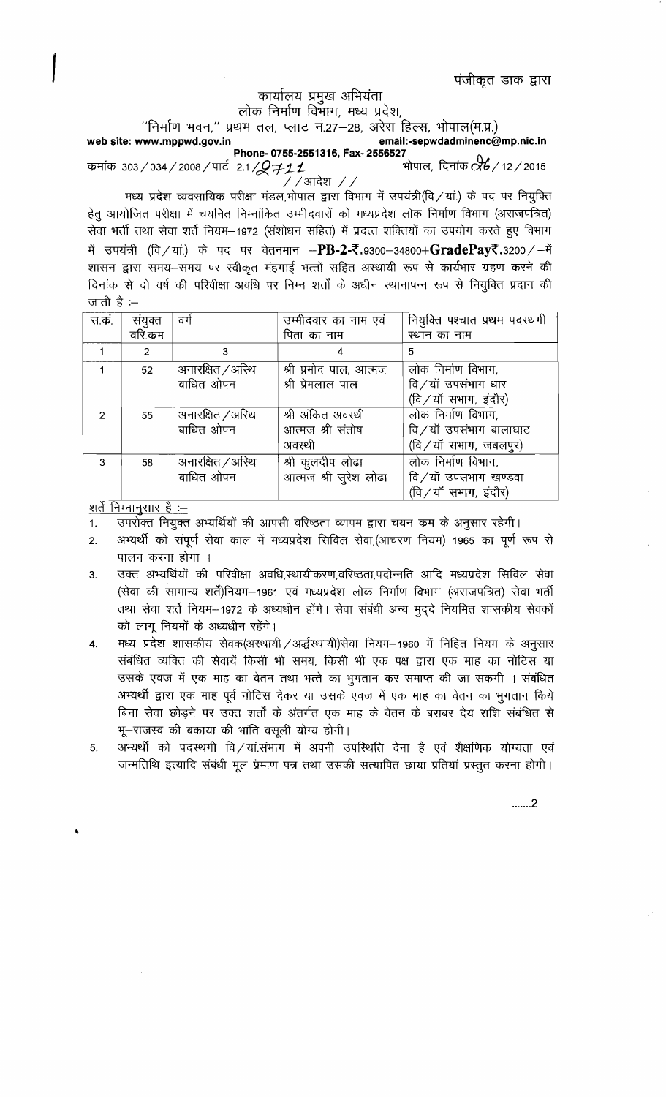पंजीकृत डाक द्वारा

## कार्यालय प्रमुख अभियंता लोक निर्माण विभाग, मध्य प्रदेश,

''निर्माण भवन,'' प्रथम तल, प्लाट नं.27–28, अरेरा हिल्स, भोपाल(म.प्र.)

email:-sepwdadminenc@mp.nic.in web site: www.mppwd.gov.in Phone- 0755-2551316, Fax- 2556527 ..<br>भोपाल, दिनांक �� / 12 / 2015 कमांक 303/034/2008/पार्ट–2.1/*Q*711

 $7/$ आदेश  $7/$ 

मध्य प्रदेश व्यवसायिक परीक्षा मंडल,भोपाल द्वारा विभाग में उपयंत्री(वि / यां.) के पद पर नियुक्ति हेतु आयोजित परीक्षा में चयनित निम्नांकित उम्मीदवारों को मध्यप्रदेश लोक निर्माण विभाग (अराजपत्रित) सेवा भर्ती तथा सेवा शर्ते नियम–1972 (संशोधन सहित) में प्रदत्त शक्तियों का उपयोग करते हुए विभाग में उपयंत्री (वि / यां.) के पद पर वेतनमान --PB-2-रें.9300-34800+GradePayरें.3200 / -में शासन द्वारा समय–समय पर स्वीकृत मंहगाई भत्तों सहित अस्थायी रूप से कार्यभार ग्रहण करने की दिनांक से दो वर्ष की परिवीक्षा अवधि पर निम्न शर्तों के अधीन स्थानापन्न रूप से नियुक्ति प्रदान की जाती है $\div$ 

| स.क.           | संयुक्त      | वग                | उम्मीदवार का नाम एवं   | नियुक्ति पश्चात प्रथम पदस्थगी |
|----------------|--------------|-------------------|------------------------|-------------------------------|
|                | वरि.कम       |                   | पिता का नाम            | स्थान का नाम                  |
|                | 2            | 3                 | 4                      | 5                             |
|                | 52           | अनारक्षित / अस्थि | श्री प्रमोद पाल, आत्मज | लोक निर्माण विभाग,            |
|                |              | बाधित ओपन         | श्री प्रेमलाल पाल      | वि/यॉ उपसंभाग धार             |
|                |              |                   |                        | (वि/यॉ सभाग, इंदौर)           |
| $\mathcal{P}$  | 55           | अनारक्षित /अस्थि  | श्री अंकित अवस्थी      | लोक निर्माण विभाग,            |
|                |              | बाधित ओपन         | आत्मज श्री संतोष       | वि/यॉ उपसंभाग बालाघाट         |
|                |              |                   | अवस्थी                 | (वि/यॉ सभाग, जबलपुर)          |
| 3              | 58           | अनारक्षित / अस्थि | श्री कुलदीप लोढा       | लोक निर्माण विभाग,            |
|                |              | बाधित ओपन         | आत्मज श्री सुरेश लोढा  | वि/यॉ उपसंभाग खण्डवा          |
| $\overline{r}$ | $\mathbf{A}$ |                   |                        | (वि / यॉ सभाग, इंदौर)         |

<u>शर्ते निम्नानुसार है :–</u>

उपरोक्त नियुक्त अभ्यर्थियों की आपसी वरिष्ठता व्यापम द्वारा चयन कम के अनुसार रहेगी। 1.

- अभ्यर्थी को संपूर्ण सेवा काल में मध्यप्रदेश सिविल सेवा,(आचरण नियम) 1965 का पूर्ण रूप से  $2.$ पालन करना होगा ।
- उक्त अभ्यर्थियों की परिवीक्षा अवधि,स्थायीकरण,वरिष्ठता,पदोन्नति आदि मध्यप्रदेश सिविल सेवा  $3<sub>l</sub>$ (सेवा की सामान्य शर्तें)नियम-1961 एवं मध्यप्रदेश लोक निर्माण विभाग (अराजपत्रित) सेवा भर्ती तथा सेवा शर्ते नियम-1972 के अध्यधीन होंगे। सेवा संबंधी अन्य मुद्दे नियमित शासकीय सेवकों को लागू नियमों के अध्यधीन रहेंगे।
- मध्य प्रदेश शासकीय सेवक(अस्थायी / अर्द्धस्थायी)सेवा नियम-1960 में निहित नियम के अनुसार 4. संबंधित व्यक्ति की सेवायें किसी भी समय, किसी भी एक पक्ष द्वारा एक माह का नोटिस या उसके एवज में एक माह का वेतन तथा भत्ते का भुगतान कर समाप्त की जा सकगी । संबंधित अभ्यर्थी द्वारा एक माह पूर्व नोटिस देकर या उसके एवज में एक माह का वेतन का भुगतान किये बिना सेवा छोड़ने पर उक्त शर्तों के अंतर्गत एक माह के वेतन के बराबर देय राशि संबंधित से भू-राजस्व की बकाया की भांति वसूली योग्य होगी।
- अभ्यर्थी को पदस्थगी वि/यां.संभाग में अपनी उपस्थिति देना है एवं शैक्षणिक योग्यता एवं  $5<sub>1</sub>$ जन्मतिथि इत्यादि संबंधी मूल प्रमाण पत्र तथा उसकी सत्यापित छाया प्रतियां प्रस्तुत करना होगी।

.......2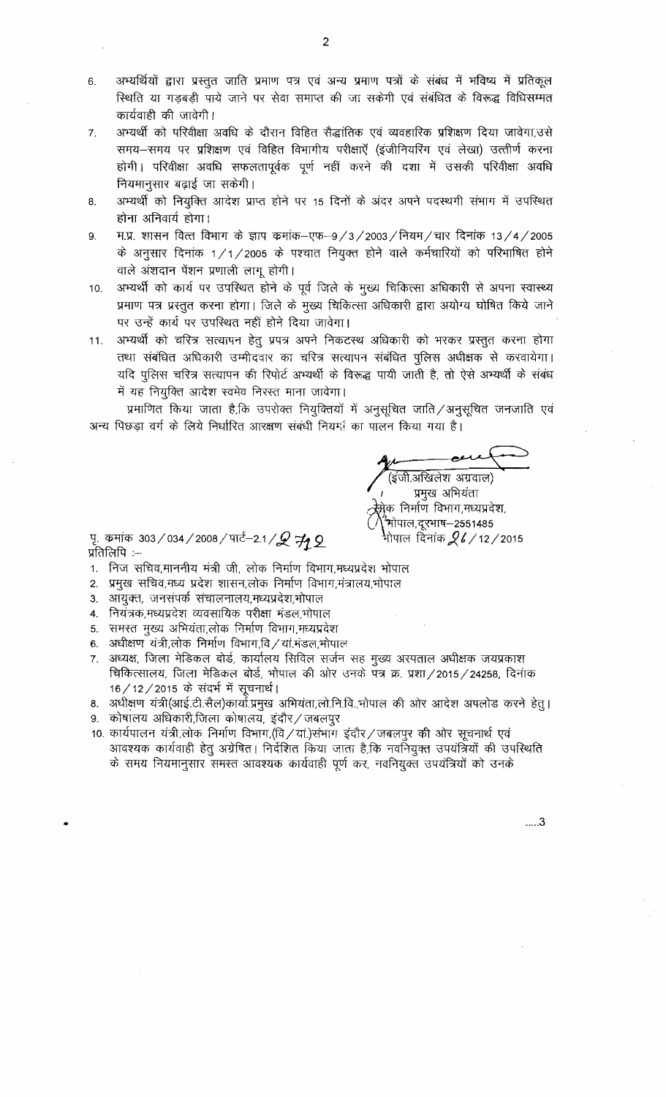- अभ्यर्थियों द्वारा प्रस्तुत जाति प्रमाण पत्र एवं अन्य प्रमाण पत्रों के संबंध में भविष्य में प्रतिकूल  $6.$ स्थिति या गड़बड़ी पाये जाने पर सेवा समाप्त की जा सकेगी एवं संबंधित के विरूद्ध विधिसम्मत कार्यवाही की जावेगी।
- अभ्यर्थी को परिवीक्षा अवधि के दौरान विहित सैद्धांतिक एवं व्यवहारिक प्रशिक्षण दिया जावेगा,उसे  $\overline{7}$ . समय-समय पर प्रशिक्षण एवं विहित विभागीय परीक्षाएँ (इंजीनियरिंग एवं लेखा) उत्त्तीर्ण करना होगी। परिवीक्षा अवधि सफलतापूर्वक पूर्ण नहीं करने की दशा में उसकी परिवीक्षा अवधि नियमानुसार बढ़ाई जा सकेगी।
- अभ्यर्थी को नियुक्ति आदेश प्राप्त होने पर 15 दिनों के अंदर अपने पदस्थगी संभाग में उपस्थित 8. होना अनिवार्य होगा।
- म.प्र. शासन वित्त विभाग के ज्ञाप क्रमांक–एफ–9/3/2003/नियम/चार दिनांक 13/4/2005 9. के अनुसार दिनांक 1/1/2005 के पश्चात नियुक्त होने वाले कर्मचारियों को परिभाषित होने वाले अंशदान पेंशन प्रणाली लागू होगी।
- अभ्यर्थी को कार्य पर उपरिथत होने के पूर्व जिले के मुख्य चिकित्सा अधिकारी से अपना स्वास्थ्य  $10.$ प्रमाण पत्र प्रस्तुत करना होगा। जिले के मुख्य चिकित्सा अधिकारी द्वारा अयोग्य घोषित किये जाने पर उन्हें कार्य पर उपस्थित नहीं होने दिया जावेगा।
- अभ्यर्थी को चरित्र सत्यापन हेतू प्रपत्र अपने निकटस्थ अधिकारी को भरकर प्रस्तुत करना होगा  $11.$ तथा संबंधित अधिकारी उम्मीदवार का चरित्र सत्यापन संबंधित पुलिस अधीक्षक से करवायेगा। यदि पुलिस चरित्र सत्यापन की रिपोर्ट अभ्यर्थी के विरूद्ध पायी जाती है, तो ऐसे अभ्यर्थी के संबंध में यह नियुक्ति आदेश स्वमेव निरस्त माना जावेगा।

प्रमाणित किया जाता है,कि उपरोक्त नियुक्तियों में अनुसूचित जाति /अनुसूचित जनजाति एवं अन्य पिछड़ा वर्ग के लिये निर्धारित आरक्षण संबंधी नियमों का पालन किया गया है।

इंजी.अखिलेश अग्रवाल)

प्रमुख अभियंता न्नेक निर्माण विभाग,मध्यप्रदेश, ,<br>भोपाल,दूरभाष—2551485 भोपाल दिनांक $\mathscr{Q}$ 6 / 12 / 2015

पृ. कमांक 303/034/2008/पार्ट-2.1/ $\mathscr{Q}$  #2 प्रतिलिपि $:=$ 

- 1. निज सचिव,माननीय मंत्री जी, लोक निर्माण विभाग,मध्यप्रदेश भोपाल
- 2. प्रमुख सचिव,मध्य प्रदेश शासन,लोक निर्माण विभाग,मंत्रालय,भोपाल
- 3. आयुक्त, जनसंपर्क संचालनालय,मध्यप्रदेश,भोपाल
- 4. नियंत्रक,मध्यप्रदेश व्यवसायिक परीक्षा मंडल,भोपाल
- 5. समस्त मुख्य अभियंता,लोक निर्माण विभाग,मध्यप्रदेश
- 6. अधीक्षण यंत्री,लोक निर्माण विभाग,वि/यां.मंडल,भोपाल
- 7. अध्यक्ष, जिला मेडिकल बोर्ड, कार्यालय सिविल सर्जन सह मुख्य अस्पताल अधीक्षक जयप्रकाश चिकित्सालय, जिला मेडिकल बोर्ड, भोपाल की ओर उनके पत्र क्र. प्रशा / 2015 / 24258, दिनांक 16/12/2015 के संदर्भ में सूचनार्थ।
- 8. अधीक्षण यंत्री(आई.टी.सैल)कार्या.प्रमुख अभियंता,लो.नि.वि.,भोपाल की ओर आदेश अपलोड करने हेतु।
- 9. कोषालय अधिकारी,जिला कोषालय, इंदौर / जबलपुर
- 10. कार्यपालन यंत्री,लोक निर्माण विभाग,(वि / यां.)संभाग इंदौर / जबलपुर की ओर सूचनार्थ एवं आवश्यक कार्यवाही हेतु अग्रेषित। निर्देशित किया जाता है,कि नवनियुक्त उपयंत्रियों की उपस्थिति के समय नियमानुसार समस्त आवश्यक कार्यवाही पूर्ण कर, नवनियुक्त उपयंत्रियों को उनके

....3